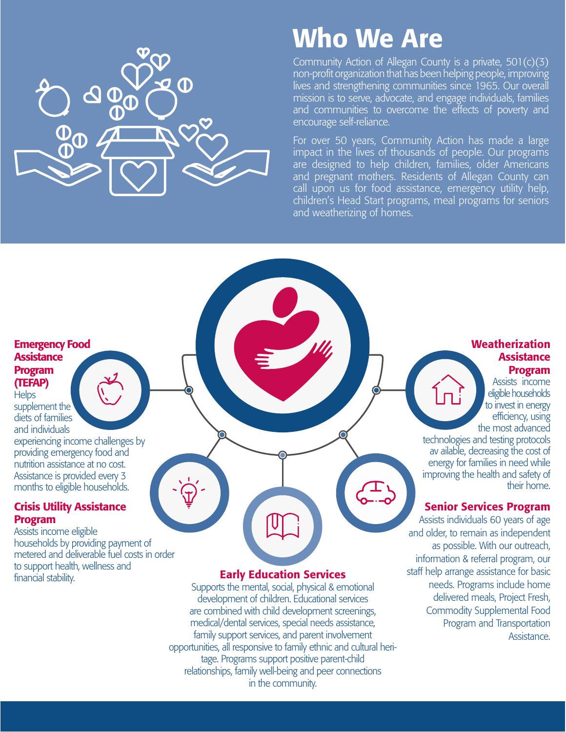

## Who We Are

Community Action of Allegan County is a private, 501(c)(3) non-profit organization that has been helping people, improving lives and strengthening communities since 1965. Our overall mission is to serve, advocate, and engage individuals, families and communities to overcome the effects of poverty and encourage self-reliance.

For over 50 years, Community Action has made a large impact in the lives of thousands of people. Our programs are designed to help children, families, older Americans and pregnant mothers. Residents of Allegan County can call upon us for food assistance, emergency utility help, children's Head Start programs, meal programs for seniors and weatherizing of homes.

#### Emergency Food **Assistance** Program (TEFAP)

**Helps** supplement the diets of families

and individuals experiencing income challenges by providing emergency food and nutrition assistance at no cost. Assistance is provided every 3 months to eligible households.

#### Crisis Utility Assistance Program

Assists income eligible households by providing payment of metered and deliverable fuel costs in order to support health, wellness and financial stability.

#### Early Education Services

Supports the mental, social, physical & emotional development of children. Educational services are combined with child development screenings, medical/dental services, special needs assistance, family support services, and parent involvement opportunities, all responsive to family ethnic and cultural heritage. Programs support positive parent-child relationships, family well-being and peer connections in the community.

#### Weatherization **Assistance** Program

Assists income eligible households to invest in energy efficiency, using the most advanced

technologies and testing protocols av ailable, decreasing the cost of energy for families in need while improving the health and safety of their home.

#### Senior Services Program

Assists individuals 60 years of age and older, to remain as independent as possible. With our outreach, information & referral program, our staff help arrange assistance for basic needs. Programs include home delivered meals, Project Fresh, Commodity Supplemental Food Program and Transportation Assistance.